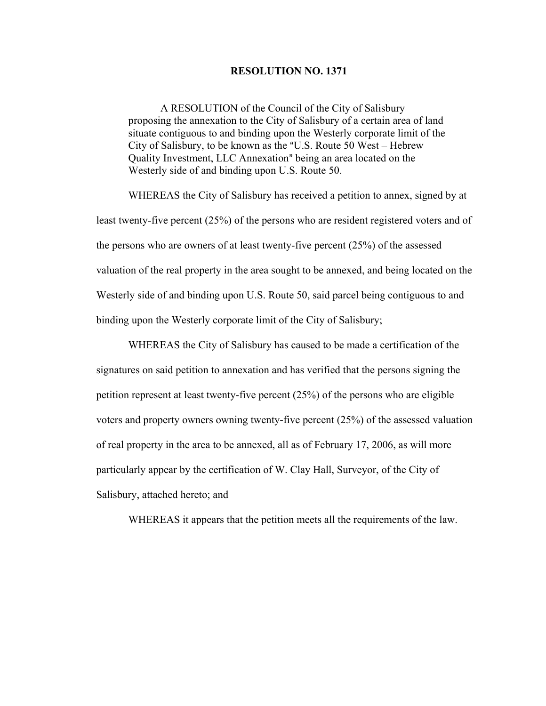## **RESOLUTION NO. 1371**

A RESOLUTION of the Council of the City of Salisbury proposing the annexation to the City of Salisbury of a certain area of land situate contiguous to and binding upon the Westerly corporate limit of the City of Salisbury, to be known as the "U.S. Route 50 West – Hebrew Quality Investment, LLC Annexation" being an area located on the Westerly side of and binding upon U.S. Route 50.

WHEREAS the City of Salisbury has received a petition to annex, signed by at least twenty-five percent (25%) of the persons who are resident registered voters and of the persons who are owners of at least twenty-five percent (25%) of the assessed valuation of the real property in the area sought to be annexed, and being located on the Westerly side of and binding upon U.S. Route 50, said parcel being contiguous to and binding upon the Westerly corporate limit of the City of Salisbury;

WHEREAS the City of Salisbury has caused to be made a certification of the signatures on said petition to annexation and has verified that the persons signing the petition represent at least twenty-five percent (25%) of the persons who are eligible voters and property owners owning twenty-five percent (25%) of the assessed valuation of real property in the area to be annexed, all as of February 17, 2006, as will more particularly appear by the certification of W. Clay Hall, Surveyor, of the City of Salisbury, attached hereto; and

WHEREAS it appears that the petition meets all the requirements of the law.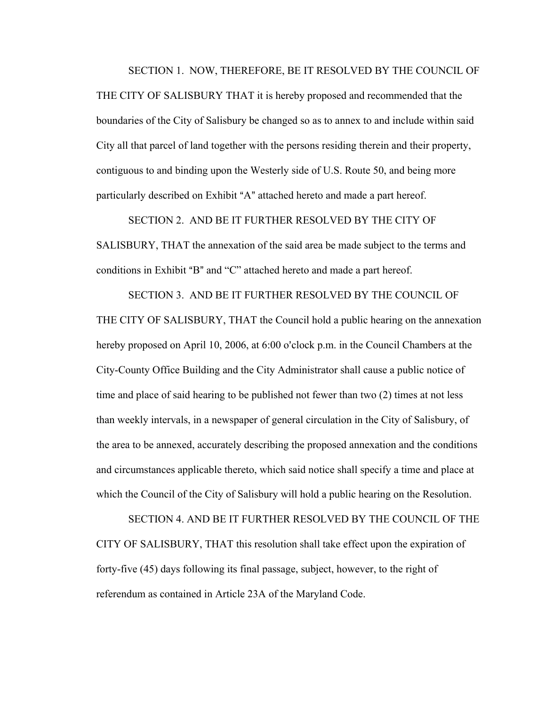SECTION 1. NOW, THEREFORE, BE IT RESOLVED BY THE COUNCIL OF

THE CITY OF SALISBURY THAT it is hereby proposed and recommended that the boundaries of the City of Salisbury be changed so as to annex to and include within said City all that parcel of land together with the persons residing therein and their property, contiguous to and binding upon the Westerly side of U.S. Route 50, and being more particularly described on Exhibit "A" attached hereto and made a part hereof.

SECTION 2. AND BE IT FURTHER RESOLVED BY THE CITY OF SALISBURY, THAT the annexation of the said area be made subject to the terms and conditions in Exhibit "B" and "C" attached hereto and made a part hereof.

SECTION 3. AND BE IT FURTHER RESOLVED BY THE COUNCIL OF THE CITY OF SALISBURY, THAT the Council hold a public hearing on the annexation hereby proposed on April 10, 2006, at 6:00 o'clock p.m. in the Council Chambers at the City-County Office Building and the City Administrator shall cause a public notice of time and place of said hearing to be published not fewer than two (2) times at not less than weekly intervals, in a newspaper of general circulation in the City of Salisbury, of the area to be annexed, accurately describing the proposed annexation and the conditions and circumstances applicable thereto, which said notice shall specify a time and place at which the Council of the City of Salisbury will hold a public hearing on the Resolution.

SECTION 4. AND BE IT FURTHER RESOLVED BY THE COUNCIL OF THE CITY OF SALISBURY, THAT this resolution shall take effect upon the expiration of forty-five (45) days following its final passage, subject, however, to the right of referendum as contained in Article 23A of the Maryland Code.